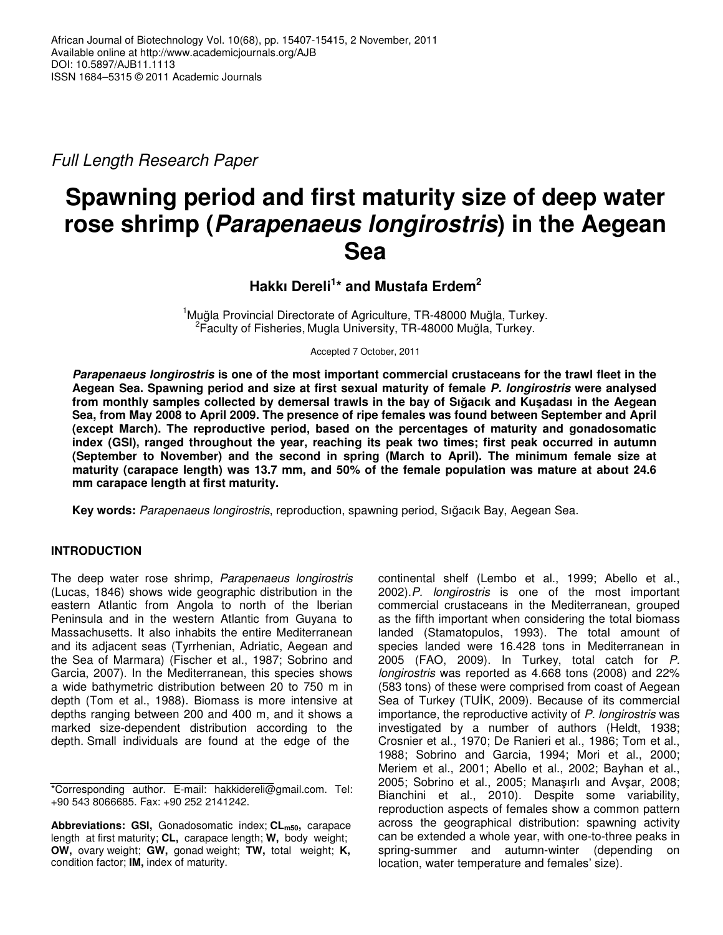*Full Length Research Paper*

# **Spawning period and first maturity size of deep water rose shrimp (***Parapenaeus longirostris***) in the Aegean Sea**

**Hakkı Dereli 1 \* and Mustafa Erdem 2**

<sup>1</sup>Muğla Provincial Directorate of Agriculture, TR-48000 Muğla, Turkey. <sup>2</sup>Faculty of Fisheries, Mugla University, TR-48000 Muğla, Turkey.

Accepted 7 October, 2011

*Parapenaeus longirostris* **is one of the most important commercial crustaceans for the trawl fleet in the Aegean Sea. Spawning period and size at first sexual maturity of female** *P. longirostris* **were analysed** from monthly samples collected by demersal trawls in the bay of Sığacık and Kuşadası in the Aegean Sea, from May 2008 to April 2009. The presence of ripe females was found between September and April **(except March). The reproductive period, based on the percentages of maturity and gonadosomatic index (GSI), ranged throughout the year, reaching its peak two times; first peak occurred in autumn (September to November) and the second in spring (March to April). The minimum female size at maturity (carapace length) was 13.7 mm, and 50% of the female population was mature at about 24.6 mm carapace length at first maturity.**

**Key words:** *Parapenaeus longirostris*, reproduction, spawning period, Sıacık Bay, Aegean Sea.

## **INTRODUCTION**

The deep water rose shrimp, *Parapenaeus longirostris* (Lucas, 1846) shows wide geographic distribution in the eastern Atlantic from Angola to north of the Iberian Peninsula and in the western Atlantic from Guyana to Massachusetts. It also inhabits the entire Mediterranean and its adjacent seas (Tyrrhenian, Adriatic, Aegean and the Sea of Marmara) (Fischer et al., 1987; Sobrino and Garcia, 2007). In the Mediterranean, this species shows a wide bathymetric distribution between 20 to 750 m in depth (Tom et al., 1988). Biomass is more intensive at depths ranging between 200 and 400 m, and it shows a marked size-dependent distribution according to the depth. Small individuals are found at the edge of the

continental shelf (Lembo et al., 1999; Abello et al., 2002).*P. longirostris* is one of the most important commercial crustaceans in the Mediterranean, grouped as the fifth important when considering the total biomass landed (Stamatopulos, 1993). The total amount of species landed were 16.428 tons in Mediterranean in 2005 (FAO, 2009). In Turkey, total catch for *P. longirostris* was reported as 4.668 tons (2008) and 22% (583 tons) of these were comprised from coast of Aegean Sea of Turkey (TUİK, 2009). Because of its commercial importance, the reproductive activity of *P. longirostris* was investigated by a number of authors (Heldt, 1938; Crosnier et al., 1970; De Ranieri et al., 1986; Tom et al., 1988; Sobrino and Garcia, 1994; Mori et al., 2000; Meriem et al., 2001; Abello et al., 2002; Bayhan et al., 2005; Sobrino et al., 2005; Manasırlı and Avsar, 2008; Bianchini et al., 2010). Despite some variability, reproduction aspects of females show a common pattern across the geographical distribution: spawning activity can be extended a whole year, with one-to-three peaks in spring-summer and autumn-winter (depending on location, water temperature and females' size).

<sup>\*</sup>Corresponding author. E-mail: hakkidereli@gmail.com. Tel: +90 543 8066685. Fax: +90 252 2141242.

**Abbreviations: GSI,** Gonadosomatic index; **CLm50,** carapace length at first maturity; **CL,** carapace length; **W,** body weight; **OW,** ovary weight; **GW,** gonad weight; **TW,** total weight; **K,** condition factor; **IM,** index of maturity.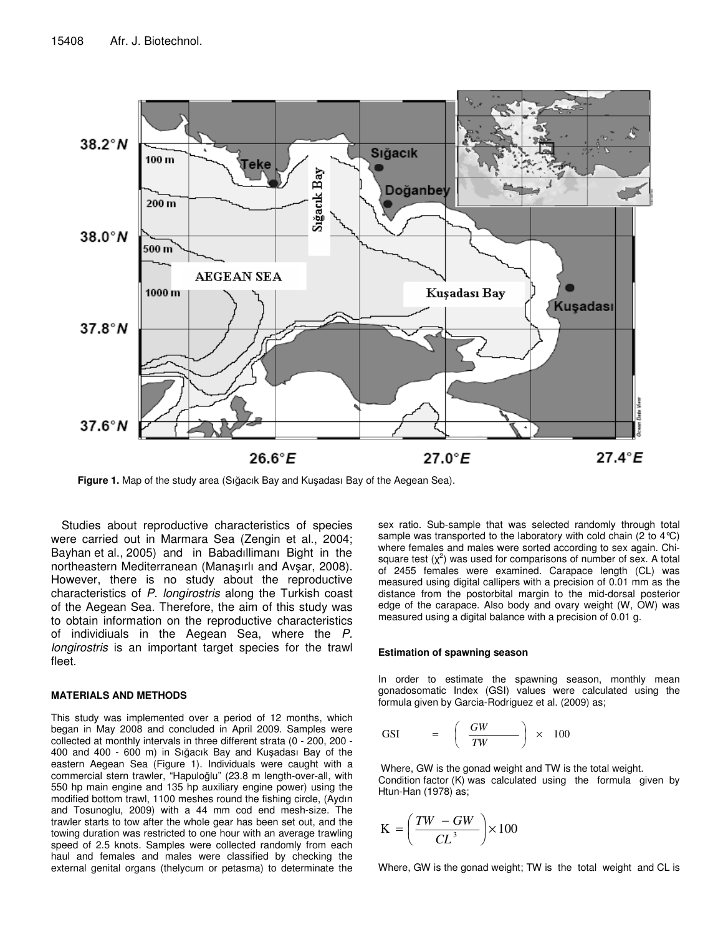

Figure 1. Map of the study area (Sığacık Bay and Kuşadası Bay of the Aegean Sea).

Studies about reproductive characteristics of species were carried out in Marmara Sea (Zengin et al., 2004; Bayhan et al., 2005) and in Babadıllimanı Bight in the northeastern Mediterranean (Manasırlı and Avsar, 2008). However, there is no study about the reproductive characteristics of *P. longirostris* along the Turkish coast of the Aegean Sea. Therefore, the aim of this study was to obtain information on the reproductive characteristics of individiuals in the Aegean Sea, where the *P. longirostris* is an important target species for the trawl fleet.

### **MATERIALS AND METHODS**

This study was implemented over a period of 12 months, which began in May 2008 and concluded in April 2009. Samples were collected at monthly intervals in three different strata (0 - 200, 200 - 400 and 400 - 600 m) in Sığacık Bay and Kuşadası Bay of the eastern Aegean Sea (Figure 1). Individuals were caught with a commercial stern trawler, "Hapuloğlu" (23.8 m length-over-all, with 550 hp main engine and 135 hp auxiliary engine power) using the modified bottom trawl, 1100 meshes round the fishing circle, (Aydın and Tosunoglu, 2009) with a 44 mm cod end mesh-size. The trawler starts to tow after the whole gear has been set out, and the towing duration was restricted to one hour with an average trawling speed of 2.5 knots. Samples were collected randomly from each haul and females and males were classified by checking the external genital organs (thelycum or petasma) to determinate the

sex ratio. Sub-sample that was selected randomly through total sample was transported to the laboratory with cold chain (2 to  $4^{\circ}$ C) where females and males were sorted according to sex again. Chisquare test  $(x^2)$  was used for comparisons of number of sex. A total of 2455 females were examined. Carapace length (CL) was measured using digital callipers with a precision of 0.01 mm as the distance from the postorbital margin to the mid-dorsal posterior edge of the carapace. Also body and ovary weight (W, OW) was measured using a digital balance with a precision of 0.01 g.

#### **Estimation of spawning season**

In order to estimate the spawning season, monthly mean gonadosomatic Index (GSI) values were calculated using the formula given by Garcia-Rodriguez et al. (2009) as;

$$
\text{GSI} \qquad = \quad \left( \begin{array}{c} GW \\ \overline{TW} \end{array} \right) \times 100
$$

Where, GW is the gonad weight and TW is the total weight. Condition factor (K) was calculated using the formula given by Htun-Han (1978) as;

$$
K = \left(\frac{TW - GW}{CL^3}\right) \times 100
$$

Where, GW is the gonad weight; TW is the total weight and CL is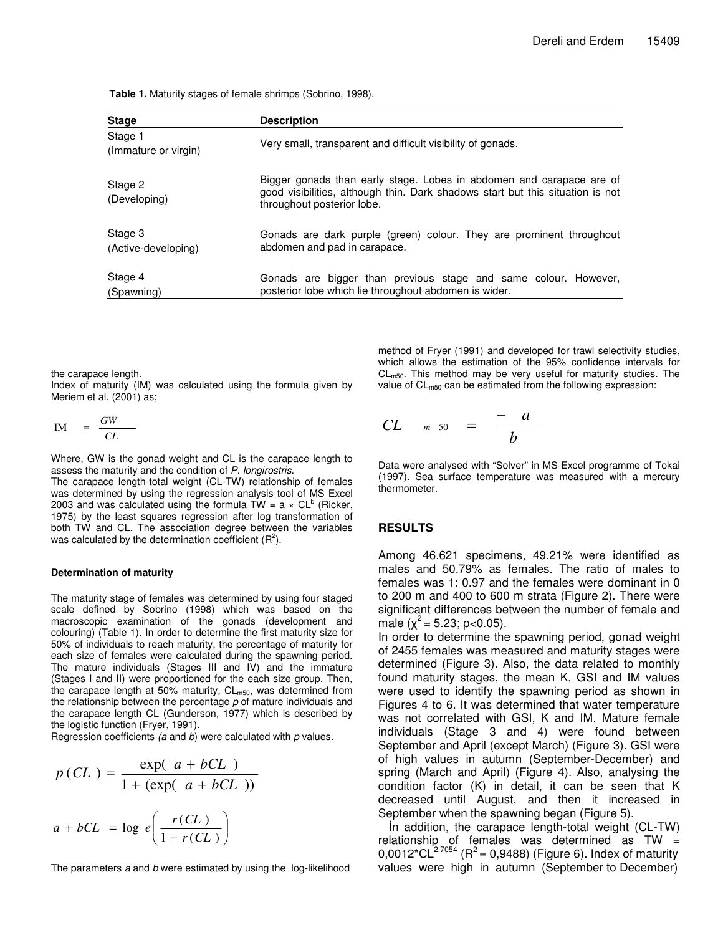**Table 1.** Maturity stages of female shrimps (Sobrino, 1998).

| <b>Stage</b>                    | <b>Description</b>                                                                                                                                                                   |
|---------------------------------|--------------------------------------------------------------------------------------------------------------------------------------------------------------------------------------|
| Stage 1<br>(Immature or virgin) | Very small, transparent and difficult visibility of gonads.                                                                                                                          |
| Stage 2<br>(Developing)         | Bigger gonads than early stage. Lobes in abdomen and carapace are of<br>good visibilities, although thin. Dark shadows start but this situation is not<br>throughout posterior lobe. |
| Stage 3<br>(Active-developing)  | Gonads are dark purple (green) colour. They are prominent throughout<br>abdomen and pad in carapace.                                                                                 |
| Stage 4<br>(Spawning)           | Gonads are bigger than previous stage and same colour. However,<br>posterior lobe which lie throughout abdomen is wider.                                                             |

the carapace length.

Index of maturity (IM) was calculated using the formula given by Meriem et al. (2001) as;

$$
IM = \frac{GW}{CL}
$$

Where, GW is the gonad weight and CL is the carapace length to assess the maturity and the condition of *P. longirostris*.

The carapace length-total weight (CL-TW) relationship of females was determined by using the regression analysis tool of MS Excel 2003 and was calculated using the formula  $\bar{TW} = a \times CL^b$  (Ricker, 1975) by the least squares regression after log transformation of both TW and CL. The association degree between the variables was calculated by the determination coefficient  $(R^2)$ .

#### **Determination of maturity**

The maturity stage of females was determined by using four staged scale defined by Sobrino (1998) which was based on the macroscopic examination of the gonads (development and colouring) (Table 1). In order to determine the first maturity size for 50% of individuals to reach maturity, the percentage of maturity for each size of females were calculated during the spawning period. The mature individuals (Stages III and IV) and the immature (Stages I and II) were proportioned for the each size group. Then, the carapace length at 50% maturity,  $CL_{m50}$ , was determined from the relationship between the percentage *p* of mature individuals and the carapace length CL (Gunderson, 1977) which is described by the logistic function (Fryer, 1991).

Regression coefficients *(a* and *b*) were calculated with *p* values.

$$
p\left(CL\right) = \frac{\exp(-a + bCL)}{1 + (\exp(-a + bCL))}
$$
\n
$$
a + bCL = \log\ e\left(\frac{rCL}{1 - rCL}\right)
$$

The parameters *a* and *b* were estimated by using the log-likelihood

method of Fryer (1991) and developed for trawl selectivity studies, which allows the estimation of the 95% confidence intervals for  $CL<sub>m50</sub>$ . This method may be very useful for maturity studies. The value of  $CL_{m50}$  can be estimated from the following expression:

$$
CL \qquad m \quad 50 \quad = \quad \frac{-a}{b}
$$

Data were analysed with "Solver" in MS-Excel programme of Tokai (1997). Sea surface temperature was measured with a mercury thermometer.

## **RESULTS**

Among 46.621 specimens, 49.21% were identified as males and 50.79% as females. The ratio of males to females was 1: 0.97 and the females were dominant in 0 to 200 m and 400 to 600 m strata (Figure 2). There were significant differences between the number of female and male  $(\chi^2 = 5.23; p<0.05)$ .

In order to determine the spawning period, gonad weight of 2455 females was measured and maturity stages were determined (Figure 3). Also, the data related to monthly found maturity stages, the mean K, GSI and IM values were used to identify the spawning period as shown in Figures 4 to 6. It was determined that water temperature was not correlated with GSI, K and IM. Mature female individuals (Stage 3 and 4) were found between September and April (except March) (Figure 3). GSI were of high values in autumn (September-December) and spring (March and April) (Figure 4). Also, analysing the condition factor (K) in detail, it can be seen that K decreased until August, and then it increased in September when the spawning began (Figure 5).

In addition, the carapace length-total weight (CL-TW) relationship of females was determined as TW = 0,0012\*CL $^{2,7054}$  (R<sup>2</sup> = 0,9488) (Figure 6). Index of maturity values were high in autumn (September to December)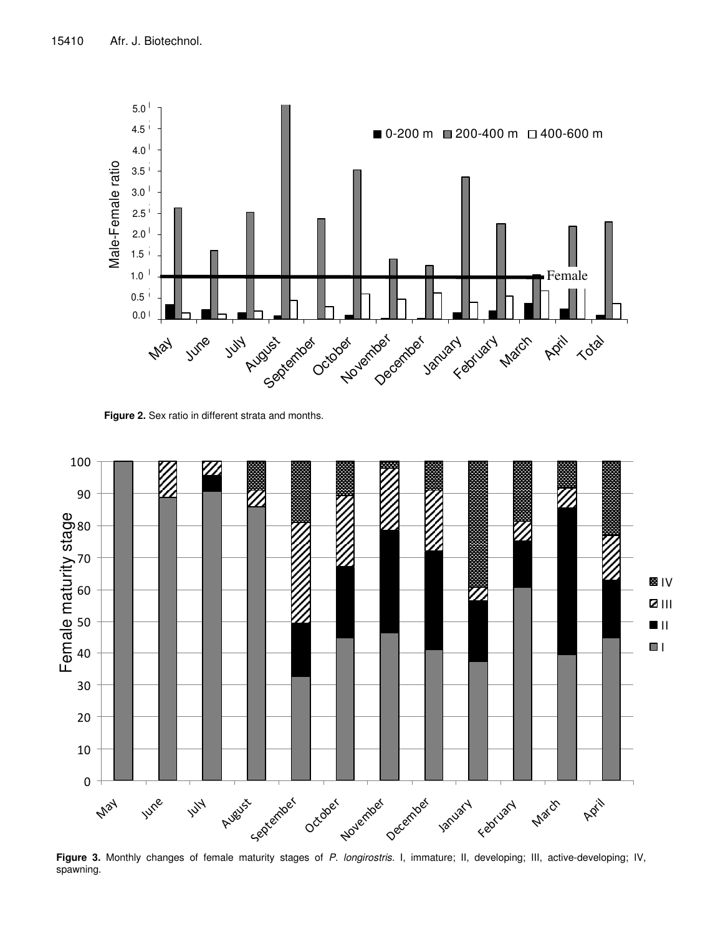

**Figure 2.** Sex ratio in different strata and months.



**Figure 3.** Monthly changes of female maturity stages of *P. longirostris.* I, immature; II, developing; III, active-developing; IV, spawning.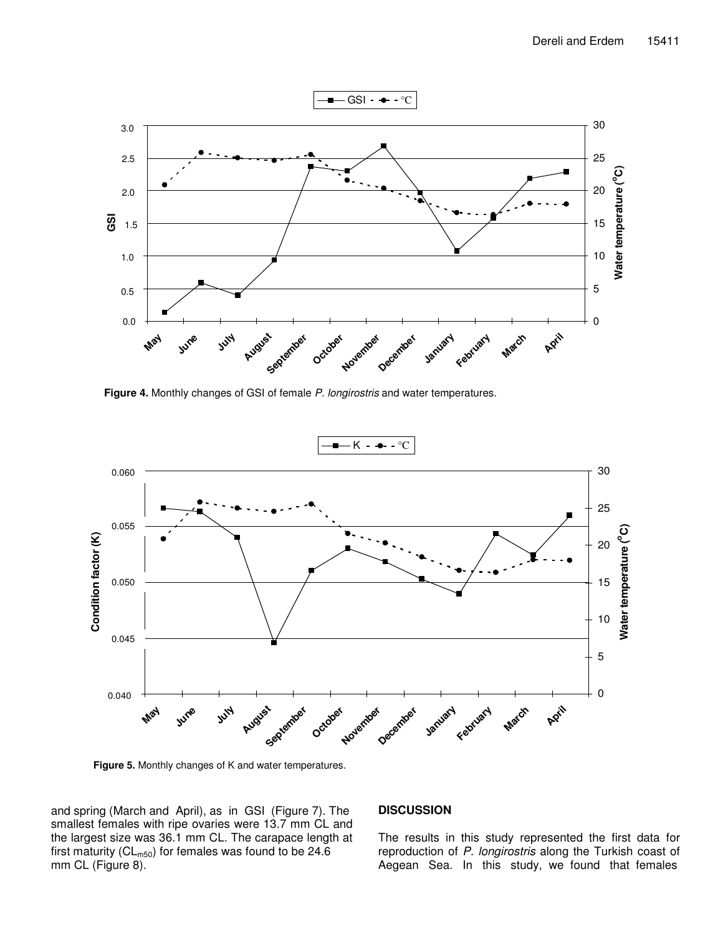

**Figure 4.** Monthly changes of GSI of female *P. longirostris* and water temperatures.



**Figure 5.** Monthly changes of K and water temperatures.

and spring (March and April), as in GSI (Figure 7). The smallest females with ripe ovaries were 13.7 mm CL and the largest size was 36.1 mm CL. The carapace length at first maturity ( $CL_{m50}$ ) for females was found to be 24.6 mm CL (Figure 8).

## **DISCUSSION**

The results in this study represented the first data for reproduction of *P. longirostris* along the Turkish coast of Aegean Sea. In this study, we found that females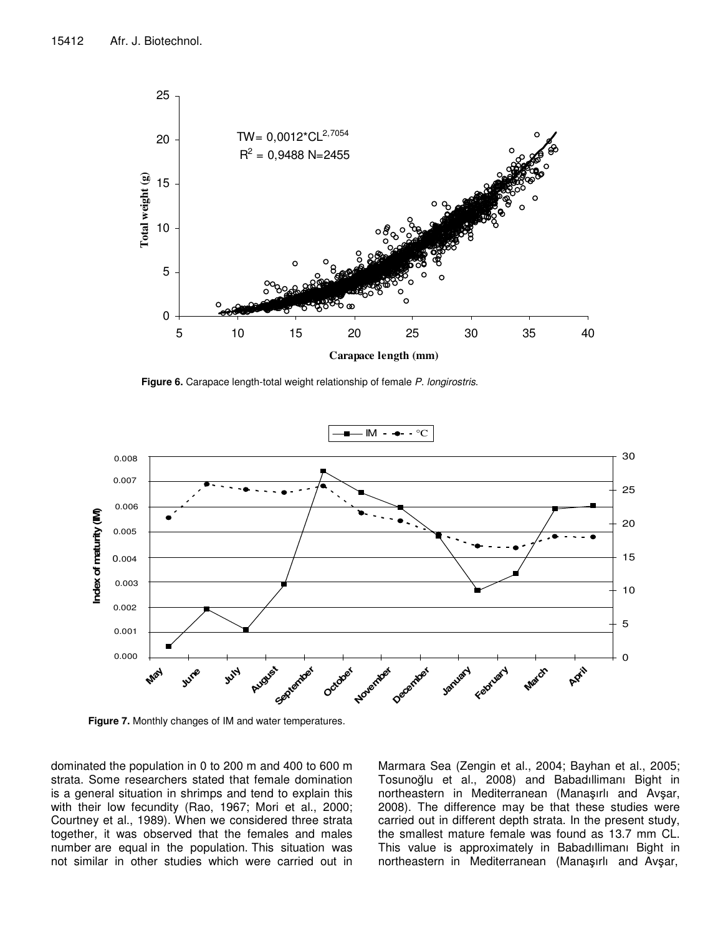

**Figure 6.** Carapace length-total weight relationship of female *P. longirostris*.



**Figure 7.** Monthly changes of IM and water temperatures.

dominated the population in 0 to 200 m and 400 to 600 m strata. Some researchers stated that female domination is a general situation in shrimps and tend to explain this with their low fecundity (Rao, 1967; Mori et al., 2000; Courtney et al., 1989). When we considered three strata together, it was observed that the females and males number are equal in the population. This situation was not similar in other studies which were carried out in

Marmara Sea (Zengin et al., 2004; Bayhan et al., 2005; Tosunoğlu et al., 2008) and Babadıllimanı Bight in northeastern in Mediterranean (Manaşırlı and Avşar, 2008). The difference may be that these studies were carried out in different depth strata. In the present study, the smallest mature female was found as 13.7 mm CL. This value is approximately in Babadıllimanı Bight in northeastern in Mediterranean (Manaşırlı and Avşar,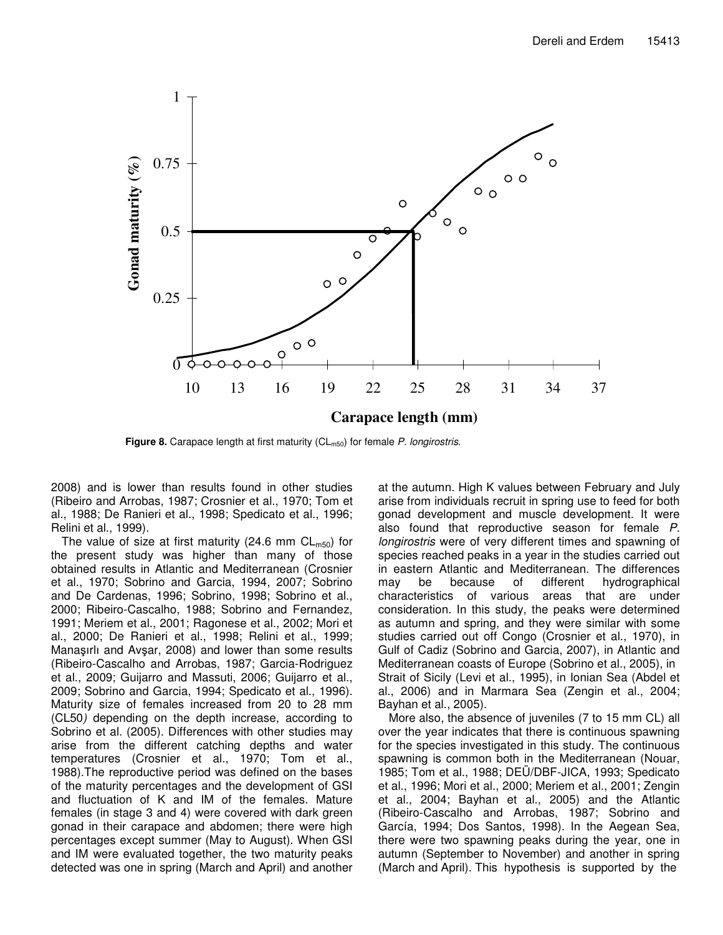

**Figure 8.** Carapace length at first maturity (CL<sub>m50</sub>) for female *P. longirostris*.

2008) and is lower than results found in other studies (Ribeiro and Arrobas, 1987; Crosnier et al., 1970; Tom et al., 1988; De Ranieri et al., 1998; Spedicato et al., 1996; Relini et al., 1999).

The value of size at first maturity (24.6 mm  $CL_{m50}$ ) for the present study was higher than many of those obtained results in Atlantic and Mediterranean (Crosnier et al., 1970; Sobrino and Garcia, 1994, 2007; Sobrino and De Cardenas, 1996; Sobrino, 1998; Sobrino et al., 2000; Ribeiro-Cascalho, 1988; Sobrino and Fernandez, 1991; Meriem et al., 2001; Ragonese et al., 2002; Mori et al., 2000; De Ranieri et al., 1998; Relini et al., 1999; Manasırlı and Avşar, 2008) and lower than some results (Ribeiro-Cascalho and Arrobas, 1987; Garcia-Rodriguez et al., 2009; Guijarro and Massuti, 2006; Guijarro et al., 2009; Sobrino and Garcia, 1994; Spedicato et al., 1996). Maturity size of females increased from 20 to 28 mm (CL50*)* depending on the depth increase, according to Sobrino et al. (2005). Differences with other studies may arise from the different catching depths and water temperatures (Crosnier et al., 1970; Tom et al., 1988).The reproductive period was defined on the bases of the maturity percentages and the development of GSI and fluctuation of K and IM of the females. Mature females (in stage 3 and 4) were covered with dark green gonad in their carapace and abdomen; there were high percentages except summer (May to August). When GSI and IM were evaluated together, the two maturity peaks detected was one in spring (March and April) and another at the autumn. High K values between February and July arise from individuals recruit in spring use to feed for both gonad development and muscle development. It were also found that reproductive season for female *P. longirostris* were of very different times and spawning of species reached peaks in a year in the studies carried out in eastern Atlantic and Mediterranean. The differences may be because of different hydrographical characteristics of various areas that are under consideration. In this study, the peaks were determined as autumn and spring, and they were similar with some studies carried out off Congo (Crosnier et al., 1970), in Gulf of Cadiz (Sobrino and Garcia, 2007), in Atlantic and Mediterranean coasts of Europe (Sobrino et al., 2005), in Strait of Sicily (Levi et al., 1995), in Ionian Sea (Abdel et al., 2006) and in Marmara Sea (Zengin et al., 2004; Bayhan et al., 2005).

More also, the absence of juveniles (7 to 15 mm CL) all over the year indicates that there is continuous spawning for the species investigated in this study. The continuous spawning is common both in the Mediterranean (Nouar, 1985; Tom et al., 1988; DEÜ/DBF-JICA, 1993; Spedicato et al., 1996; Mori et al., 2000; Meriem et al., 2001; Zengin et al., 2004; Bayhan et al., 2005) and the Atlantic (Ribeiro-Cascalho and Arrobas, 1987; Sobrino and García, 1994; Dos Santos, 1998). In the Aegean Sea, there were two spawning peaks during the year, one in autumn (September to November) and another in spring (March and April). This hypothesis is supported by the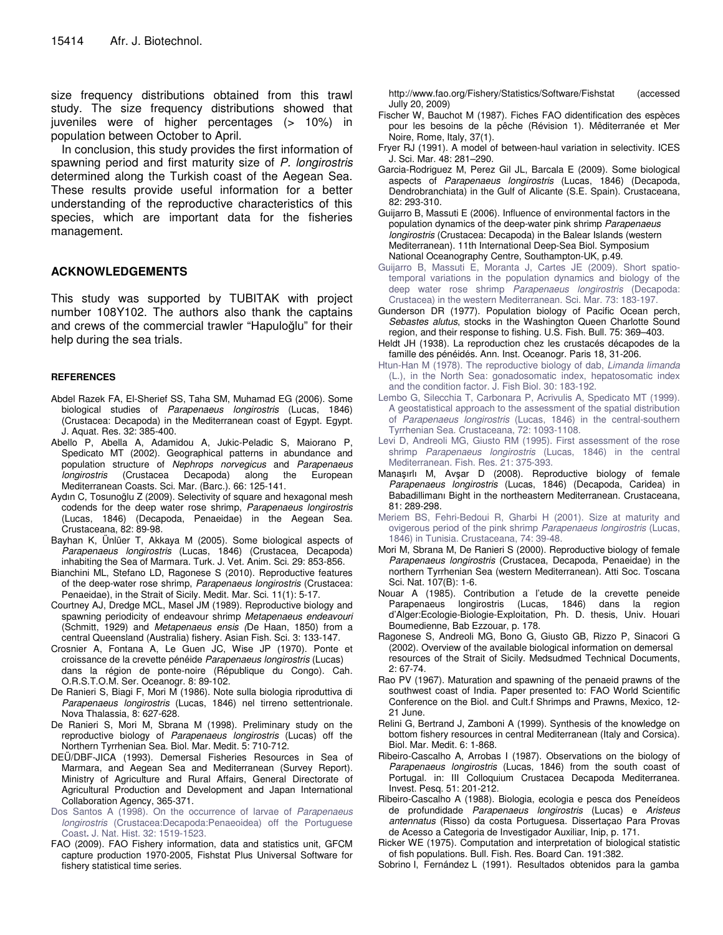size frequency distributions obtained from this trawl study. The size frequency distributions showed that juveniles were of higher percentages (> 10%) in population between October to April.

In conclusion, this study provides the first information of spawning period and first maturity size of *P. longirostris* determined along the Turkish coast of the Aegean Sea. These results provide useful information for a better understanding of the reproductive characteristics of this species, which are important data for the fisheries management.

## **ACKNOWLEDGEMENTS**

This study was supported by TUBITAK with project number 108Y102. The authors also thank the captains and crews of the commercial trawler "Hapuloğlu" for their help during the sea trials.

## **REFERENCES**

- Abdel Razek FA, El-Sherief SS, Taha SM, Muhamad EG (2006). Some biological studies of *Parapenaeus longirostris* (Lucas, 1846) (Crustacea: Decapoda) in the Mediterranean coast of Egypt. Egypt. J. Aquat. Res. 32: 385-400.
- Abello P, Abella A, Adamidou A, Jukic-Peladic S, Maiorano P, Spedicato MT (2002). Geographical patterns in abundance and population structure of *Nephrops norvegicus* and *Parapenaeus longirostris* (Crustacea Decapoda) along the European Mediterranean Coasts. Sci. Mar. (Barc.). 66: 125-141.
- Aydın C, Tosunoğlu Z (2009). Selectivity of square and hexagonal mesh codends for the deep water rose shrimp, *Parapenaeus longirostris* (Lucas, 1846) (Decapoda, Penaeidae) in the Aegean Sea. Crustaceana, 82: 89-98.
- Bayhan K, Ünlüer T, Akkaya M (2005). Some biological aspects of *Parapenaeus longirostris* (Lucas, 1846) (Crustacea, Decapoda) inhabiting the Sea of Marmara. Turk. J. Vet. Anim. Sci. 29: 853-856.
- Bianchini ML, Stefano LD, Ragonese S (2010). Reproductive features of the deep-water rose shrimp, *Parapenaeus longirostris* (Crustacea: Penaeidae), in the Strait of Sicily. Medit. Mar. Sci. 11(1): 5-17.
- Courtney AJ, Dredge MCL, Masel JM (1989). Reproductive biology and spawning periodicity of endeavour shrimp *Metapenaeus endeavouri* (Schmitt, 1929) and *Metapenaeus ensis (*De Haan, 1850) from a central Queensland (Australia) fishery. Asian Fish. Sci. 3: 133-147.
- Crosnier A, Fontana A, Le Guen JC, Wise JP (1970). Ponte et croissance de la crevette pénéide *Parapenaeus longirostris* (Lucas) dans la région de ponte-noire (République du Congo). Cah. O.R.S.T.O.M. Ser. Oceanogr. 8: 89-102.
- De Ranieri S, Biagi F, Mori M (1986). Note sulla biologia riproduttiva di *Parapenaeus longirostris* (Lucas, 1846) nel tirreno settentrionale. Nova Thalassia, 8: 627-628.
- De Ranieri S, Mori M, Sbrana M (1998). Preliminary study on the reproductive biology of *Parapenaeus longirostris* (Lucas) off the Northern Tyrrhenian Sea. Biol. Mar. Medit. 5: 710-712.
- DEÜ/DBF-JICA (1993). Demersal Fisheries Resources in Sea of Marmara, and Aegean Sea and Mediterranean (Survey Report). Ministry of Agriculture and Rural Affairs, General Directorate of Agricultural Production and Development and Japan International Collaboration Agency, 365-371.
- Dos Santos A (1998). On the occurrence of larvae of *Parapenaeus longirostris* (Crustacea:Decapoda:Penaeoidea) off the Portuguese Coast**.** J. Nat. Hist. 32: 1519-1523.
- FAO (2009). FAO Fishery information, data and statistics unit, GFCM capture production 1970-2005, Fishstat Plus Universal Software for fishery statistical time series.

http://www.fao.org/Fishery/Statistics/Software/Fishstat (accessed Jully 20, 2009)

- Fischer W, Bauchot M (1987). Fiches FAO didentification des espèces pour les besoins de la pêche (Révision 1). Mêditerranée et Mer Noire, Rome, Italy, 37(1).
- Fryer RJ (1991). A model of between-haul variation in selectivity. ICES J. Sci. Mar. 48: 281–290.
- Garcia-Rodriguez M, Perez Gil JL, Barcala E (2009). Some biological aspects of *Parapenaeus longirostris* (Lucas, 1846) (Decapoda, Dendrobranchiata) in the Gulf of Alicante (S.E. Spain). Crustaceana, 82: 293-310.
- Guijarro B, Massuti E (2006). Influence of environmental factors in the population dynamics of the deep-water pink shrimp *Parapenaeus longirostris* (Crustacea: Decapoda) in the Balear Islands (western Mediterranean). 11th International Deep-Sea Biol. Symposium National Oceanography Centre, Southampton-UK, p.49.
- Guijarro B, Massuti E, Moranta J, Cartes JE (2009). Short spatiotemporal variations in the population dynamics and biology of the deep water rose shrimp *Parapenaeus longirostris* (Decapoda: Crustacea) in the western Mediterranean. Sci. Mar. 73: 183-197.
- Gunderson DR (1977). Population biology of Pacific Ocean perch, *Sebastes alutus*, stocks in the Washington Queen Charlotte Sound region, and their response to fishing. U.S. Fish. Bull. 75: 369–403.
- Heldt JH (1938). La reproduction chez les crustacés décapodes de la famille des pénéidés. Ann. Inst. Oceanogr. Paris 18, 31-206.
- Htun-Han M (1978). The reproductive biology of dab, *Limanda limanda* (L.), in the North Sea: gonadosomatic index, hepatosomatic index and the condition factor. J. Fish Biol. 30: 183-192.
- Lembo G, Silecchia T, Carbonara P, Acrivulis A, Spedicato MT (1999). A geostatistical approach to the assessment of the spatial distribution of *Parapenaeus longirostris* (Lucas, 1846) in the central-southern Tyrrhenian Sea. Crustaceana, 72: 1093-1108.
- Levi D, Andreoli MG, Giusto RM (1995). First assessment of the rose shrimp *Parapenaeus longirostris* (Lucas, 1846) in the central Mediterranean. Fish. Res. 21: 375-393.
- Manaşırlı M, Avşar D (2008). Reproductive biology of female *Parapenaeus longirostris* (Lucas, 1846) (Decapoda, Caridea) in Babadillimanı Bight in the northeastern Mediterranean. Crustaceana, 81: 289-298.
- Meriem BS, Fehri-Bedoui R, Gharbi H (2001). Size at maturity and ovigerous period of the pink shrimp *Parapenaeus longirostris* (Lucas, 1846) in Tunisia. Crustaceana, 74: 39-48.
- Mori M, Sbrana M, De Ranieri S (2000). Reproductive biology of female *Parapenaeus longirostris* (Crustacea, Decapoda, Penaeidae) in the northern Tyrrhenian Sea (western Mediterranean). Atti Soc. Toscana Sci. Nat. 107(B): 1-6.
- Nouar A (1985). Contribution a l'etude de la crevette peneide Parapenaeus longirostris (Lucas, 1846) dans la region d'Alger:Ecologie-Biologie-Exploitation, Ph. D. thesis, Univ. Houari Boumedienne, Bab Ezzouar, p. 178.
- Ragonese S, Andreoli MG, Bono G, Giusto GB, Rizzo P, Sinacori G (2002). Overview of the available biological information on demersal resources of the Strait of Sicily. Medsudmed Technical Documents, 2: 67-74.
- Rao PV (1967). Maturation and spawning of the penaeid prawns of the southwest coast of India. Paper presented to: FAO World Scientific Conference on the Biol. and Cult.f Shrimps and Prawns, Mexico, 12- 21 June.
- Relini G, Bertrand J, Zamboni A (1999). Synthesis of the knowledge on bottom fishery resources in central Mediterranean (Italy and Corsica). Biol. Mar. Medit. 6: 1-868.
- Ribeiro-Cascalho A, Arrobas I (1987). Observations on the biology of *Parapenaeus longirostris* (Lucas, 1846) from the south coast of Portugal. in: III Colloquium Crustacea Decapoda Mediterranea. Invest. Pesq. 51: 201-212.
- Ribeiro-Cascalho A (1988). Biologia, ecologia e pesca dos Peneídeos de profundidade *Parapenaeus longirostris* (Lucas) e *Aristeus antennatus* (Risso) da costa Portuguesa. Dissertaçao Para Provas de Acesso a Categoria de Investigador Auxiliar, Inip, p. 171.
- Ricker WE (1975). Computation and interpretation of biological statistic of fish populations. Bull. Fish. Res. Board Can. 191:382.
- Sobrino I, Fernández L (1991). Resultados obtenidos para la gamba